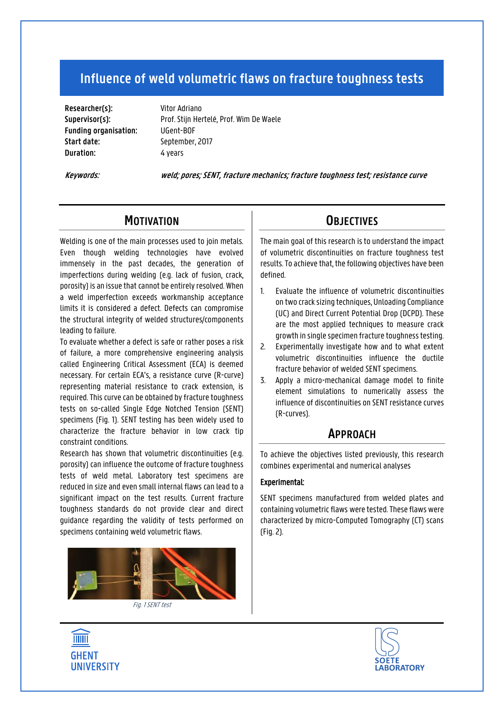# **Influence of weld volumetric flaws on fracture toughness tests**

**Researcher(s):** Vitor Adriano **Funding organisation:** UGent-BOF **Start date:** September, 2017 **Duration:** 4 years

**Supervisor(s):** Prof. Stijn Hertelé, Prof. Wim De Waele

**Keywords: weld; pores;SENT, fracture mechanics; fracture toughness test; resistance curve**

## **MOTIVATION**

Welding is one of the main processes used to join metals. Even though welding technologies have evolved immensely in the past decades, the generation of imperfections during welding (e.g. lack of fusion, crack, porosity) is an issue that cannot be entirely resolved. When a weld imperfection exceeds workmanship acceptance limits it is considered a defect. Defects can compromise the structural integrity of welded structures/components leading to failure.

To evaluate whether a defect is safe or rather poses a risk of failure, a more comprehensive engineering analysis called Engineering Critical Assessment (ECA) is deemed necessary. For certain ECA's, a resistance curve (R-curve) representing material resistance to crack extension, is required. This curve can be obtained by fracture toughness tests on so-called Single Edge Notched Tension (SENT) specimens (Fig. 1). SENT testing has been widely used to characterize the fracture behavior in low crack tip constraint conditions.

Research has shown that volumetric discontinuities (e.g. porosity) can influence the outcome of fracture toughness tests of weld metal. Laboratory test specimens are reduced in size and even small internal flaws can lead to a significant impact on the test results. Current fracture toughness standards do not provide clear and direct guidance regarding the validity of tests performed on specimens containing weld volumetric flaws.



## **OBJECTIVES**

The main goal of this research is to understand the impact of volumetric discontinuities on fracture toughness test results. To achieve that, the following objectives have been defined.

- 1. Evaluate the influence of volumetric discontinuities on two crack sizing techniques, Unloading Compliance (UC) and Direct Current Potential Drop (DCPD). These are the most applied techniques to measure crack growth in single specimen fracture toughness testing.
- 2. Experimentally investigate how and to what extent volumetric discontinuities influence the ductile fracture behavior of welded SENT specimens.
- 3. Apply a micro-mechanical damage model to finite element simulations to numerically assess the influence of discontinuities on SENT resistance curves (R-curves).

### **APPROACH**

To achieve the objectives listed previously, this research combines experimental and numerical analyses

#### Experimental:

SENT specimens manufactured from welded plates and containing volumetric flaws were tested. These flaws were characterized by micro-Computed Tomography (CT) scans (Fig. 2).

**THEFT GHENT UNIVERSITY**